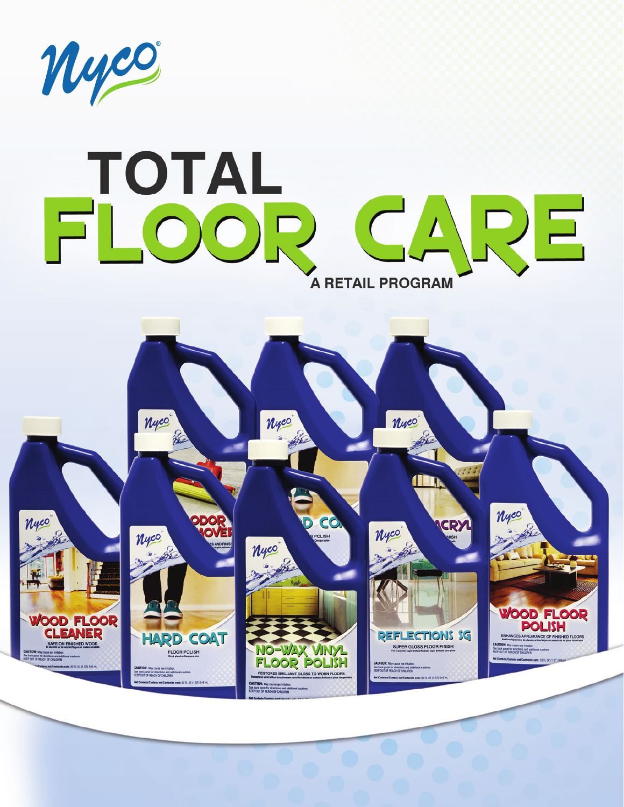

# TOTAL<br>FLOOR EARE **A RETAIL PROGRAM**

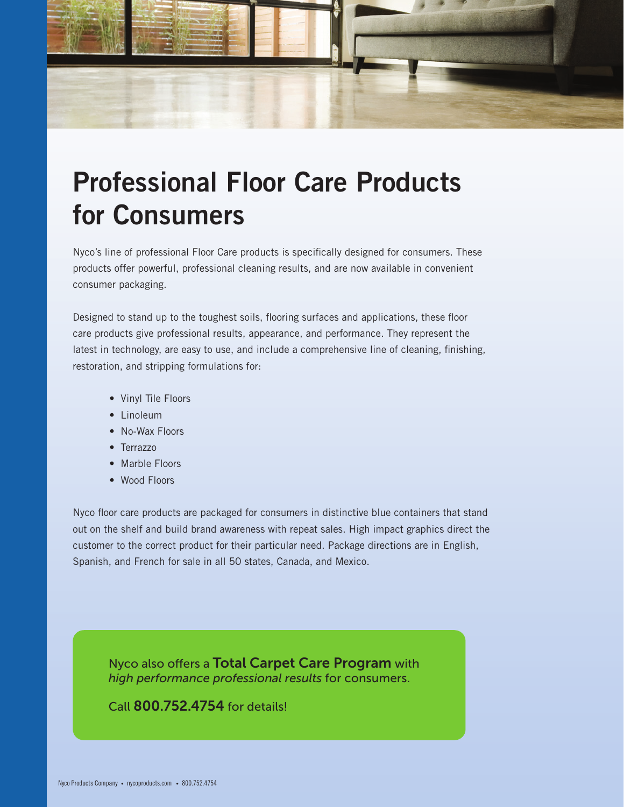

# Professional Floor Care Products for Consumers

Nyco's line of professional Floor Care products is specifically designed for consumers. These products offer powerful, professional cleaning results, and are now available in convenient consumer packaging.

Designed to stand up to the toughest soils, flooring surfaces and applications, these floor care products give professional results, appearance, and performance. They represent the latest in technology, are easy to use, and include a comprehensive line of cleaning, finishing, restoration, and stripping formulations for:

- Vinyl Tile Floors
- Linoleum
- No-Wax Floors
- Terrazzo
- Marble Floors
- Wood Floors

Nyco floor care products are packaged for consumers in distinctive blue containers that stand out on the shelf and build brand awareness with repeat sales. High impact graphics direct the customer to the correct product for their particular need. Package directions are in English, Spanish, and French for sale in all 50 states, Canada, and Mexico.

Nyco also offers a Total Carpet Care Program with *high performance professional results* for consumers.

Call 800.752.4754 for details!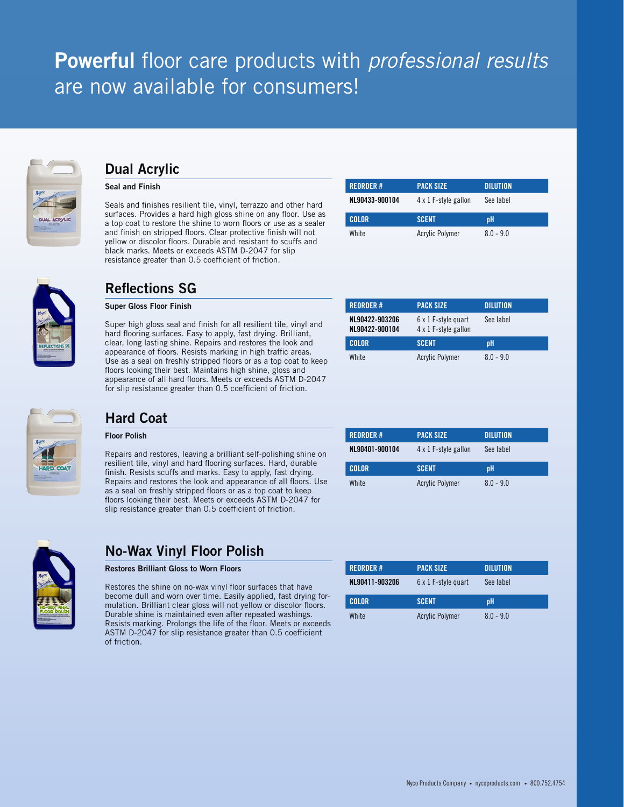## Powerful floor care products with *professional results* are now available for consumers!



## Dual Acrylic

#### Seal and Finish

Seals and finishes resilient tile, vinyl, terrazzo and other hard surfaces. Provides a hard high gloss shine on any floor. Use as a top coat to restore the shine to worn floors or use as a sealer and finish on stripped floors. Clear protective finish will not yellow or discolor floors. Durable and resistant to scuffs and black marks. Meets or exceeds ASTM D-2047 for slip resistance greater than 0.5 coefficient of friction.

| <b>REORDER#</b> | <b>PACK SIZE</b>     | <b>DILUTION</b> |
|-----------------|----------------------|-----------------|
| NL90433-900104  | 4 x 1 F-style gallon | See label       |
|                 |                      |                 |
| <b>COLOR</b>    | <b>SCENT</b>         | pH              |



## Reflections SG

#### Super Gloss Floor Finish

Super high gloss seal and finish for all resilient tile, vinyl and hard flooring surfaces. Easy to apply, fast drying. Brilliant, clear, long lasting shine. Repairs and restores the look and appearance of floors. Resists marking in high traffic areas. Use as a seal on freshly stripped floors or as a top coat to keep floors looking their best. Maintains high shine, gloss and appearance of all hard floors. Meets or exceeds ASTM D-2047 for slip resistance greater than 0.5 coefficient of friction.

| <b>REORDER#</b>                  | <b>PACK SIZE</b>                            | <b>DILUTION</b> |
|----------------------------------|---------------------------------------------|-----------------|
| NL90422-903206<br>NL90422-900104 | 6 x 1 F-style quart<br>4 x 1 F-style gallon | See label       |
| <b>COLOR</b>                     | <b>SCENT</b>                                | pН              |
| <b>White</b>                     | <b>Acrylic Polymer</b>                      | $80 - 90$       |



## Hard Coat

#### Floor Polish

Repairs and restores, leaving a brilliant self-polishing shine on resilient tile, vinyl and hard flooring surfaces. Hard, durable finish. Resists scuffs and marks. Easy to apply, fast drying. Repairs and restores the look and appearance of all floors. Use as a seal on freshly stripped floors or as a top coat to keep floors looking their best. Meets or exceeds ASTM D-2047 for slip resistance greater than 0.5 coefficient of friction.

| <b>REORDER#</b> | <b>PACK SIZE</b>       | <b>DILUTION</b> |
|-----------------|------------------------|-----------------|
| NL90401-900104  | 4 x 1 F-style gallon   | See label       |
| <b>COLOR</b>    | <b>SCENT</b>           | pH              |
| White           | <b>Acrylic Polymer</b> | $8.0 - 9.0$     |



## No-Wax Vinyl Floor Polish

#### Restores Brilliant Gloss to Worn Floors

Restores the shine on no-wax vinyl floor surfaces that have become dull and worn over time. Easily applied, fast drying formulation. Brilliant clear gloss will not yellow or discolor floors. Durable shine is maintained even after repeated washings. Resists marking. Prolongs the life of the floor. Meets or exceeds ASTM D-2047 for slip resistance greater than 0.5 coefficient of friction.

| <b>REORDER#</b> | <b>PACK SIZE</b>       | <b>DILUTION</b> |
|-----------------|------------------------|-----------------|
| NL90411-903206  | 6 x 1 F-style quart    | See label       |
| <b>COLOR</b>    | <b>SCENT</b>           | <b>pH</b>       |
| White           | <b>Acrylic Polymer</b> | $80 - 90$       |